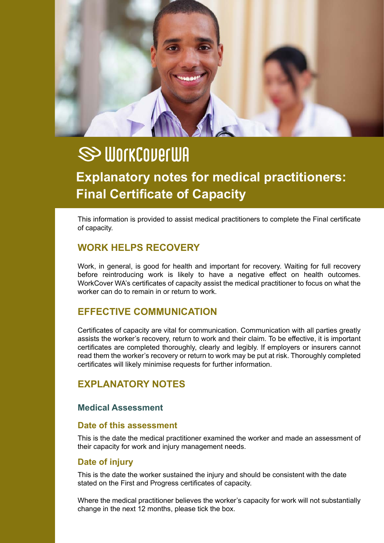

# **SS WORKCOVERWA explanatory notes for medical practitioners: Final Certificate of Capacity**

This information is provided to assist medical practitioners to complete the Final certificate of capacity.

## **Work Helps recovery**

Work, in general, is good for health and important for recovery. Waiting for full recovery before reintroducing work is likely to have a negative effect on health outcomes. WorkCover WA's certificates of capacity assist the medical practitioner to focus on what the worker can do to remain in or return to work.

## **effective communication**

Certificates of capacity are vital for communication. Communication with all parties greatly assists the worker's recovery, return to work and their claim. To be effective, it is important certificates are completed thoroughly, clearly and legibly. If employers or insurers cannot read them the worker's recovery or return to work may be put at risk. Thoroughly completed certificates will likely minimise requests for further information.

# **explanatory notes**

#### **medical assessment**

#### **Date of this assessment**

This is the date the medical practitioner examined the worker and made an assessment of their capacity for work and injury management needs.

#### **Date of injury**

This is the date the worker sustained the injury and should be consistent with the date stated on the First and Progress certificates of capacity.

Where the medical practitioner believes the worker's capacity for work will not substantially change in the next 12 months, please tick the box.